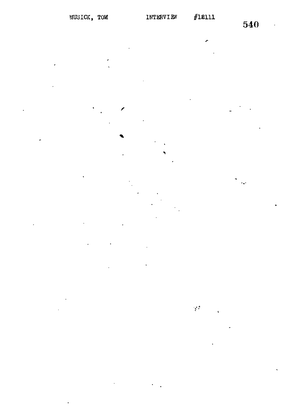Ā

٠.,







 $\mathbb{R}^{\mathbb{Z}^{\mathbb{Z}}}$ 

 $\overline{\mathbf{t}}$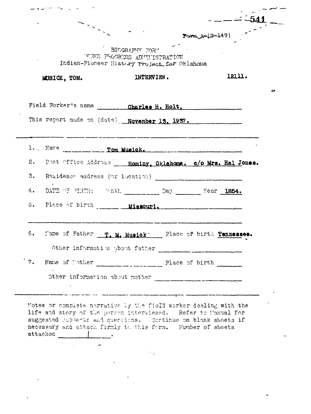|                                |                                                                                              | $\texttt{Form}(\texttt{A}=\texttt{[S-149]})$ |
|--------------------------------|----------------------------------------------------------------------------------------------|----------------------------------------------|
|                                | BIGGRAPHY FORM<br>WAES PROGRESS ADMITSTRATION<br>Indian-Pioneer History Project for Oklahoma |                                              |
| MUSICK, TOM.                   | INTERVIEW.                                                                                   | 12111.                                       |
|                                | Field Worker's name __________ Charles H. Holt,                                              |                                              |
|                                | This report made on (date). November 13, 1937.                                               |                                              |
|                                | <u> 1960 - John Stone, Amerikaansk politiker († 1901)</u><br>1. Name Tom Musick.             |                                              |
|                                | 2. Post office Address ___ Hominy, Oklahoma. c/o Mrs. Hal Jones.                             |                                              |
|                                |                                                                                              |                                              |
|                                |                                                                                              |                                              |
|                                | DATE OF MINH: Critical Contract Day Mear 1854.                                               |                                              |
| 3.<br>4.1                      | 5. Place of birth ______ Missouri.                                                           |                                              |
| 6.                             | Name of Father T. M. Musick. Place of birth Tennessee.                                       |                                              |
| Other information about father |                                                                                              | <u> 1940 - Johann John Stoff, martin a</u>   |
| 7.                             |                                                                                              |                                              |

suggested .ubjects and questions. Sometime on blank sheets if<br>necessary and attach firmly to this form. Number of sheets attached \_\_\_\_\_\_\_\_\_\_\_\_\_\_\_\_\_\_\_\_\_.

 $\ddot{\phantom{0}}$ 

 $\ddot{\phantom{a}}$ 

 $\mathcal{L}(\mathcal{L})$  and  $\mathcal{L}(\mathcal{L})$ 

 $\ddot{\phantom{a}}$ 

 $\ddot{\chi}$